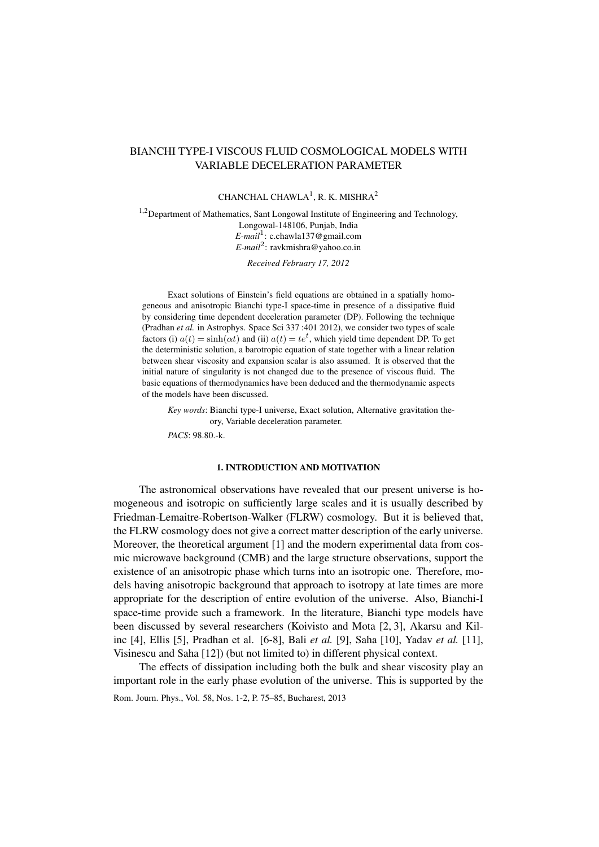# BIANCHI TYPE-I VISCOUS FLUID COSMOLOGICAL MODELS WITH VARIABLE DECELERATION PARAMETER

## CHANCHAL CHAWLA<sup>1</sup>, R. K. MISHRA<sup>2</sup>

<sup>1,2</sup>Department of Mathematics, Sant Longowal Institute of Engineering and Technology, Longowal-148106, Punjab, India *E-mail*<sup>1</sup> : c.chawla137@gmail.com *E-mail*<sup>2</sup> : ravkmishra@yahoo.co.in

*Received February 17, 2012*

Exact solutions of Einstein's field equations are obtained in a spatially homogeneous and anisotropic Bianchi type-I space-time in presence of a dissipative fluid by considering time dependent deceleration parameter (DP). Following the technique (Pradhan *et al.* in Astrophys. Space Sci 337 :401 2012), we consider two types of scale factors (i)  $a(t) = \sinh(\alpha t)$  and (ii)  $a(t) = te^t$ , which yield time dependent DP. To get the deterministic solution, a barotropic equation of state together with a linear relation between shear viscosity and expansion scalar is also assumed. It is observed that the initial nature of singularity is not changed due to the presence of viscous fluid. The basic equations of thermodynamics have been deduced and the thermodynamic aspects of the models have been discussed.

*Key words*: Bianchi type-I universe, Exact solution, Alternative gravitation theory, Variable deceleration parameter.

*PACS*: 98.80.-k.

### 1. INTRODUCTION AND MOTIVATION

The astronomical observations have revealed that our present universe is homogeneous and isotropic on sufficiently large scales and it is usually described by Friedman-Lemaitre-Robertson-Walker (FLRW) cosmology. But it is believed that, the FLRW cosmology does not give a correct matter description of the early universe. Moreover, the theoretical argument [1] and the modern experimental data from cosmic microwave background (CMB) and the large structure observations, support the existence of an anisotropic phase which turns into an isotropic one. Therefore, models having anisotropic background that approach to isotropy at late times are more appropriate for the description of entire evolution of the universe. Also, Bianchi-I space-time provide such a framework. In the literature, Bianchi type models have been discussed by several researchers (Koivisto and Mota [2, 3], Akarsu and Kilinc [4], Ellis [5], Pradhan et al. [6-8], Bali *et al.* [9], Saha [10], Yadav *et al.* [11], Visinescu and Saha [12]) (but not limited to) in different physical context.

The effects of dissipation including both the bulk and shear viscosity play an important role in the early phase evolution of the universe. This is supported by the

Rom. Journ. Phys., Vol. 58, Nos. 1-2, P. 75–85, Bucharest, 2013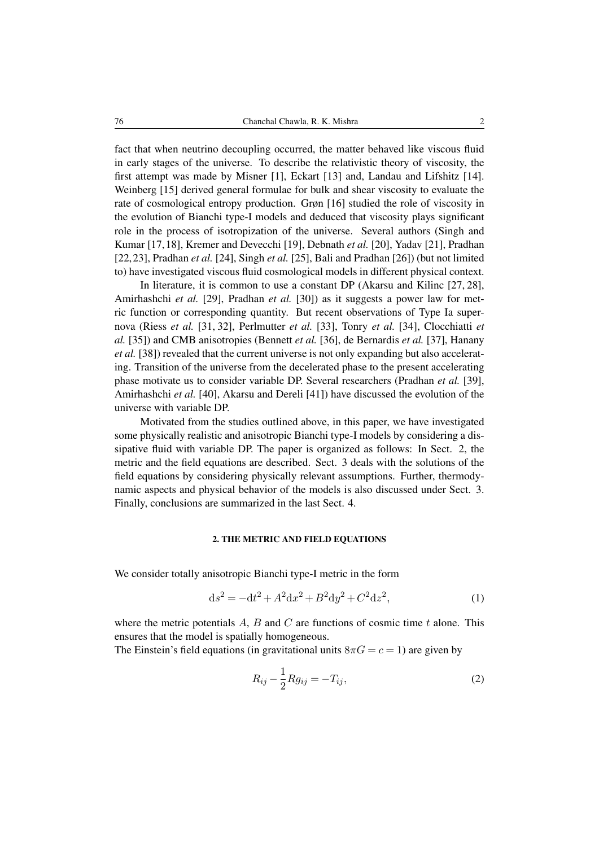fact that when neutrino decoupling occurred, the matter behaved like viscous fluid in early stages of the universe. To describe the relativistic theory of viscosity, the first attempt was made by Misner [1], Eckart [13] and, Landau and Lifshitz [14]. Weinberg [15] derived general formulae for bulk and shear viscosity to evaluate the rate of cosmological entropy production. Grøn [16] studied the role of viscosity in the evolution of Bianchi type-I models and deduced that viscosity plays significant role in the process of isotropization of the universe. Several authors (Singh and Kumar [17,18], Kremer and Devecchi [19], Debnath *et al.* [20], Yadav [21], Pradhan [22,23], Pradhan *et al.* [24], Singh *et al.* [25], Bali and Pradhan [26]) (but not limited to) have investigated viscous fluid cosmological models in different physical context.

In literature, it is common to use a constant DP (Akarsu and Kilinc [27, 28], Amirhashchi *et al.* [29], Pradhan *et al.* [30]) as it suggests a power law for metric function or corresponding quantity. But recent observations of Type Ia supernova (Riess *et al.* [31, 32], Perlmutter *et al.* [33], Tonry *et al.* [34], Clocchiatti *et al.* [35]) and CMB anisotropies (Bennett *et al.* [36], de Bernardis *et al.* [37], Hanany *et al.* [38]) revealed that the current universe is not only expanding but also accelerating. Transition of the universe from the decelerated phase to the present accelerating phase motivate us to consider variable DP. Several researchers (Pradhan *et al.* [39], Amirhashchi *et al.* [40], Akarsu and Dereli [41]) have discussed the evolution of the universe with variable DP.

Motivated from the studies outlined above, in this paper, we have investigated some physically realistic and anisotropic Bianchi type-I models by considering a dissipative fluid with variable DP. The paper is organized as follows: In Sect. 2, the metric and the field equations are described. Sect. 3 deals with the solutions of the field equations by considering physically relevant assumptions. Further, thermodynamic aspects and physical behavior of the models is also discussed under Sect. 3. Finally, conclusions are summarized in the last Sect. 4.

### 2. THE METRIC AND FIELD EQUATIONS

We consider totally anisotropic Bianchi type-I metric in the form

$$
ds^{2} = -dt^{2} + A^{2}dx^{2} + B^{2}dy^{2} + C^{2}dz^{2},
$$
\n(1)

where the metric potentials  $\vec{A}$ ,  $\vec{B}$  and  $\vec{C}$  are functions of cosmic time  $t$  alone. This ensures that the model is spatially homogeneous.

The Einstein's field equations (in gravitational units  $8\pi G = c = 1$ ) are given by

$$
R_{ij} - \frac{1}{2} R g_{ij} = -T_{ij},
$$
\t(2)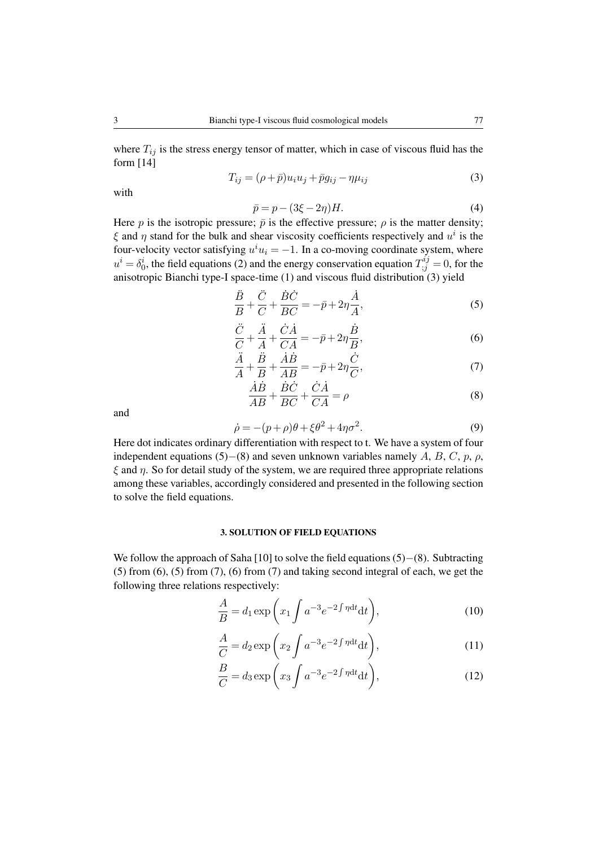where  $T_{ij}$  is the stress energy tensor of matter, which in case of viscous fluid has the form [14]

$$
T_{ij} = (\rho + \bar{p})u_i u_j + \bar{p}g_{ij} - \eta \mu_{ij}
$$
\n(3)

with

$$
\bar{p} = p - (3\xi - 2\eta)H.\tag{4}
$$

Here *p* is the isotropic pressure;  $\bar{p}$  is the effective pressure;  $\rho$  is the matter density; *ξ* and *η* stand for the bulk and shear viscosity coefficients respectively and *u i* is the four-velocity vector satisfying  $u^i u_i = -1$ . In a co-moving coordinate system, where  $u^i = \delta_0^i$ , the field equations (2) and the energy conservation equation  $T_{;j}^{ij} = 0$ , for the anisotropic Bianchi type-I space-time (1) and viscous fluid distribution (3) yield

$$
\frac{\ddot{B}}{B} + \frac{\ddot{C}}{C} + \frac{\dot{B}\dot{C}}{BC} = -\bar{p} + 2\eta \frac{\dot{A}}{A},\tag{5}
$$

$$
\frac{\ddot{C}}{C} + \frac{\ddot{A}}{A} + \frac{\dot{C}\dot{A}}{CA} = -\bar{p} + 2\eta \frac{\dot{B}}{B},\tag{6}
$$

$$
\frac{\ddot{A}}{A} + \frac{\ddot{B}}{B} + \frac{\dot{A}\dot{B}}{AB} = -\bar{p} + 2\eta \frac{\dot{C}}{C},\tag{7}
$$

$$
\frac{\dot{A}\dot{B}}{AB} + \frac{\dot{B}\dot{C}}{BC} + \frac{\dot{C}\dot{A}}{CA} = \rho
$$
 (8)

and

$$
\dot{\rho} = -(p+\rho)\theta + \xi \theta^2 + 4\eta \sigma^2. \tag{9}
$$

Here dot indicates ordinary differentiation with respect to t. We have a system of four independent equations (5)*−*(8) and seven unknown variables namely *A*, *B*, *C*, *p*, *ρ*, *ξ* and *η*. So for detail study of the system, we are required three appropriate relations among these variables, accordingly considered and presented in the following section to solve the field equations.

#### 3. SOLUTION OF FIELD EQUATIONS

We follow the approach of Saha [10] to solve the field equations (5)*−*(8). Subtracting  $(5)$  from  $(6)$ ,  $(5)$  from  $(7)$ ,  $(6)$  from  $(7)$  and taking second integral of each, we get the following three relations respectively:

$$
\frac{A}{B} = d_1 \exp\left(x_1 \int a^{-3} e^{-2 \int \eta dt} dt\right),\tag{10}
$$

$$
\frac{A}{C} = d_2 \exp\left(x_2 \int a^{-3} e^{-2 \int \eta dt} dt\right),\tag{11}
$$

$$
\frac{B}{C} = d_3 \exp\left(x_3 \int a^{-3} e^{-2 \int \eta dt} dt\right),\tag{12}
$$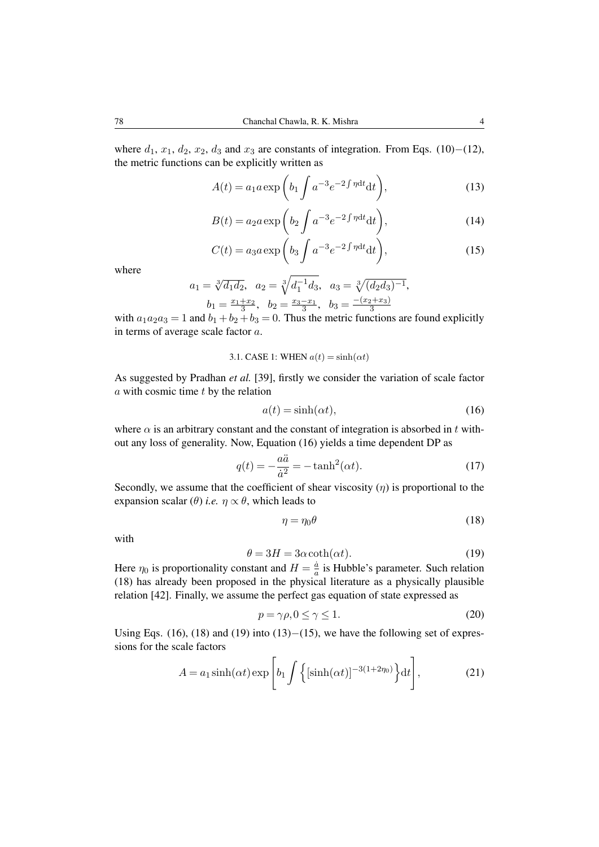where  $d_1$ ,  $x_1$ ,  $d_2$ ,  $x_2$ ,  $d_3$  and  $x_3$  are constants of integration. From Eqs. (10)−(12), the metric functions can be explicitly written as

$$
A(t) = a_1 a \exp\left(b_1 \int a^{-3} e^{-2 \int \eta dt} dt\right),\tag{13}
$$

$$
B(t) = a_2 a \exp\left(b_2 \int a^{-3} e^{-2 \int \eta dt} dt\right),\tag{14}
$$

$$
C(t) = a_3 a \exp\left(b_3 \int a^{-3} e^{-2 \int \eta dt} dt\right),\tag{15}
$$

where

$$
a_1 = \sqrt[3]{d_1 d_2}
$$
,  $a_2 = \sqrt[3]{d_1^{-1} d_3}$ ,  $a_3 = \sqrt[3]{(d_2 d_3)^{-1}}$ ,  
 $b_1 = \frac{x_1 + x_2}{3}$ ,  $b_2 = \frac{x_3 - x_1}{3}$ ,  $b_3 = \frac{-(x_2 + x_3)}{3}$ 

with  $a_1a_2a_3 = 1$  and  $b_1 + b_2 + b_3 = 0$ . Thus the metric functions are found explicitly in terms of average scale factor *a*.

3.1. CASE 1: WHERE 
$$
a(t) = \sinh(\alpha t)
$$

As suggested by Pradhan *et al.* [39], firstly we consider the variation of scale factor *a* with cosmic time *t* by the relation

$$
a(t) = \sinh(\alpha t),\tag{16}
$$

where  $\alpha$  is an arbitrary constant and the constant of integration is absorbed in *t* without any loss of generality. Now, Equation (16) yields a time dependent DP as

$$
q(t) = -\frac{a\ddot{a}}{\dot{a}^2} = -\tanh^2(\alpha t). \tag{17}
$$

Secondly, we assume that the coefficient of shear viscosity  $(\eta)$  is proportional to the expansion scalar ( $\theta$ ) *i.e.*  $\eta \propto \theta$ , which leads to

$$
\eta = \eta_0 \theta \tag{18}
$$

with

$$
\theta = 3H = 3\alpha \coth(\alpha t). \tag{19}
$$

Here  $\eta_0$  is proportionality constant and  $H = \frac{\dot{a}}{a}$  $\frac{a}{a}$  is Hubble's parameter. Such relation (18) has already been proposed in the physical literature as a physically plausible relation [42]. Finally, we assume the perfect gas equation of state expressed as

$$
p = \gamma \rho, 0 \le \gamma \le 1. \tag{20}
$$

Using Eqs. (16), (18) and (19) into (13)*−*(15), we have the following set of expressions for the scale factors

$$
A = a_1 \sinh(\alpha t) \exp\left[b_1 \int \left\{ \left[\sinh(\alpha t)\right]^{-3(1+2\eta_0)} \right\} dt\right],\tag{21}
$$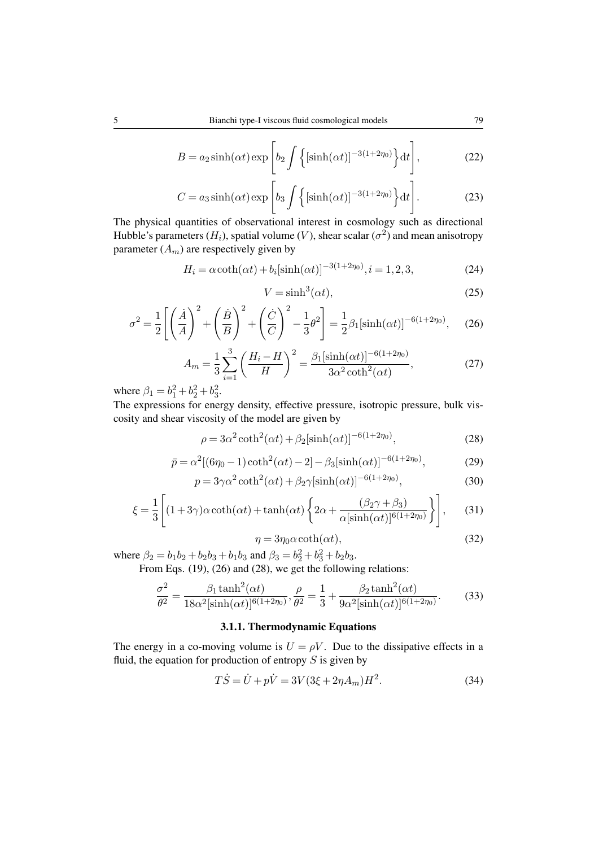$$
B = a_2 \sinh(\alpha t) \exp\left[b_2 \int \left\{ \left[\sinh(\alpha t)\right]^{-3(1+2\eta_0)} \right\} dt\right],\tag{22}
$$

$$
C = a_3 \sinh(\alpha t) \exp\left[b_3 \int \left\{ \left[\sinh(\alpha t)\right]^{-3(1+2\eta_0)} \right\} dt\right].
$$
 (23)

The physical quantities of observational interest in cosmology such as directional Hubble's parameters  $(H_i)$ , spatial volume  $(V)$ , shear scalar  $(\sigma^2)$  and mean anisotropy parameter  $(A_m)$  are respectively given by

$$
H_i = \alpha \coth(\alpha t) + b_i[\sinh(\alpha t)]^{-3(1+2\eta_0)}, i = 1, 2, 3,
$$
 (24)

$$
V = \sinh^3(\alpha t),\tag{25}
$$

$$
\sigma^2 = \frac{1}{2} \left[ \left( \frac{\dot{A}}{A} \right)^2 + \left( \frac{\dot{B}}{B} \right)^2 + \left( \frac{\dot{C}}{C} \right)^2 - \frac{1}{3} \theta^2 \right] = \frac{1}{2} \beta_1 [\sinh(\alpha t)]^{-6(1+2\eta_0)}, \quad (26)
$$

$$
A_m = \frac{1}{3} \sum_{i=1}^{3} \left( \frac{H_i - H}{H} \right)^2 = \frac{\beta_1 [\sinh(\alpha t)]^{-6(1+2\eta_0)}}{3\alpha^2 \coth^2(\alpha t)},
$$
(27)

where  $\beta_1 = b_1^2 + b_2^2 + b_3^2$ .

The expressions for energy density, effective pressure, isotropic pressure, bulk viscosity and shear viscosity of the model are given by

$$
\rho = 3\alpha^2 \coth^2(\alpha t) + \beta_2 [\sinh(\alpha t)]^{-6(1+2\eta_0)},\tag{28}
$$

$$
\bar{p} = \alpha^2 [(6\eta_0 - 1)\coth^2(\alpha t) - 2] - \beta_3 [\sinh(\alpha t)]^{-6(1+2\eta_0)},\tag{29}
$$

$$
p = 3\gamma\alpha^2 \coth^2(\alpha t) + \beta_2 \gamma [\sinh(\alpha t)]^{-6(1+2\eta_0)},\tag{30}
$$

$$
\xi = \frac{1}{3} \left[ (1+3\gamma)\alpha \coth(\alpha t) + \tanh(\alpha t) \left\{ 2\alpha + \frac{(\beta_2 \gamma + \beta_3)}{\alpha [\sinh(\alpha t)]^{6(1+2\eta_0)}} \right\} \right],\tag{31}
$$

$$
\eta = 3\eta_0 \alpha \coth(\alpha t),\tag{32}
$$

where  $\beta_2 = b_1b_2 + b_2b_3 + b_1b_3$  and  $\beta_3 = b_2^2 + b_3^2 + b_2b_3$ .

From Eqs.  $(19)$ ,  $(26)$  and  $(28)$ , we get the following relations:

$$
\frac{\sigma^2}{\theta^2} = \frac{\beta_1 \tanh^2(\alpha t)}{18\alpha^2[\sinh(\alpha t)]^{6(1+2\eta_0)}}, \frac{\rho}{\theta^2} = \frac{1}{3} + \frac{\beta_2 \tanh^2(\alpha t)}{9\alpha^2[\sinh(\alpha t)]^{6(1+2\eta_0)}}.
$$
(33)

## 3.1.1. Thermodynamic Equations

The energy in a co-moving volume is  $U = \rho V$ . Due to the dissipative effects in a fluid, the equation for production of entropy *S* is given by

$$
T\dot{S} = \dot{U} + p\dot{V} = 3V(3\xi + 2\eta A_m)H^2.
$$
 (34)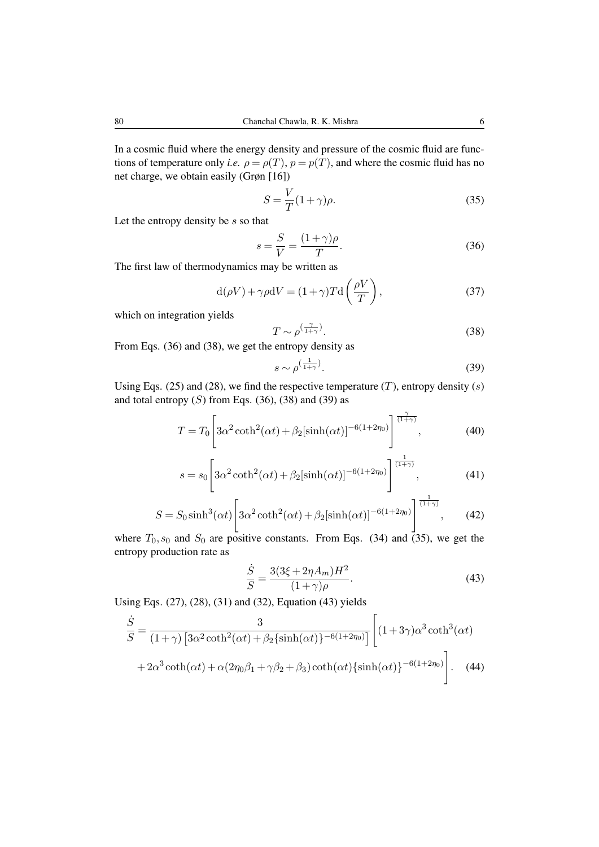In a cosmic fluid where the energy density and pressure of the cosmic fluid are functions of temperature only *i.e.*  $\rho = \rho(T)$ ,  $p = p(T)$ , and where the cosmic fluid has no net charge, we obtain easily (Grøn [16])

$$
S = \frac{V}{T}(1+\gamma)\rho.
$$
\n(35)

Let the entropy density be *s* so that

$$
s = \frac{S}{V} = \frac{(1+\gamma)\rho}{T}.
$$
\n(36)

The first law of thermodynamics may be written as

$$
d(\rho V) + \gamma \rho dV = (1 + \gamma) T d\left(\frac{\rho V}{T}\right),\tag{37}
$$

which on integration yields

$$
T \sim \rho^{\left(\frac{\gamma}{1+\gamma}\right)}.\tag{38}
$$

From Eqs. (36) and (38), we get the entropy density as

$$
s \sim \rho^{\left(\frac{1}{1+\gamma}\right)}.\tag{39}
$$

Using Eqs. (25) and (28), we find the respective temperature (*T*), entropy density (*s*) and total entropy  $(S)$  from Eqs.  $(36)$ ,  $(38)$  and  $(39)$  as

$$
T = T_0 \left[ 3\alpha^2 \coth^2(\alpha t) + \beta_2 [\sinh(\alpha t)]^{-6(1+2\eta_0)} \right]^{\frac{\gamma}{(1+\gamma)}},\tag{40}
$$

$$
s = s_0 \left[ 3\alpha^2 \coth^2(\alpha t) + \beta_2 [\sinh(\alpha t)]^{-6(1+2\eta_0)} \right]^{\frac{1}{(1+\gamma)}},
$$
(41)

$$
S = S_0 \sinh^3(\alpha t) \left[ 3\alpha^2 \coth^2(\alpha t) + \beta_2 [\sinh(\alpha t)]^{-6(1+2\eta_0)} \right]^{\frac{1}{(1+\gamma)}},\tag{42}
$$

where  $T_0$ ,  $s_0$  and  $S_0$  are positive constants. From Eqs. (34) and (35), we get the entropy production rate as

$$
\frac{\dot{S}}{S} = \frac{3(3\xi + 2\eta A_m)H^2}{(1+\gamma)\rho}.
$$
\n(43)

Using Eqs. (27), (28), (31) and (32), Equation (43) yields

$$
\frac{\dot{S}}{S} = \frac{3}{(1+\gamma)\left[3\alpha^2 \coth^2(\alpha t) + \beta_2 \{\sinh(\alpha t)\}^{-6(1+2\eta_0)}\right]} \left[ (1+3\gamma)\alpha^3 \coth^3(\alpha t) + 2\alpha^3 \coth(\alpha t) + \alpha(2\eta_0\beta_1 + \gamma\beta_2 + \beta_3) \coth(\alpha t) \{\sinh(\alpha t)\}^{-6(1+2\eta_0)} \right].
$$
\n(44)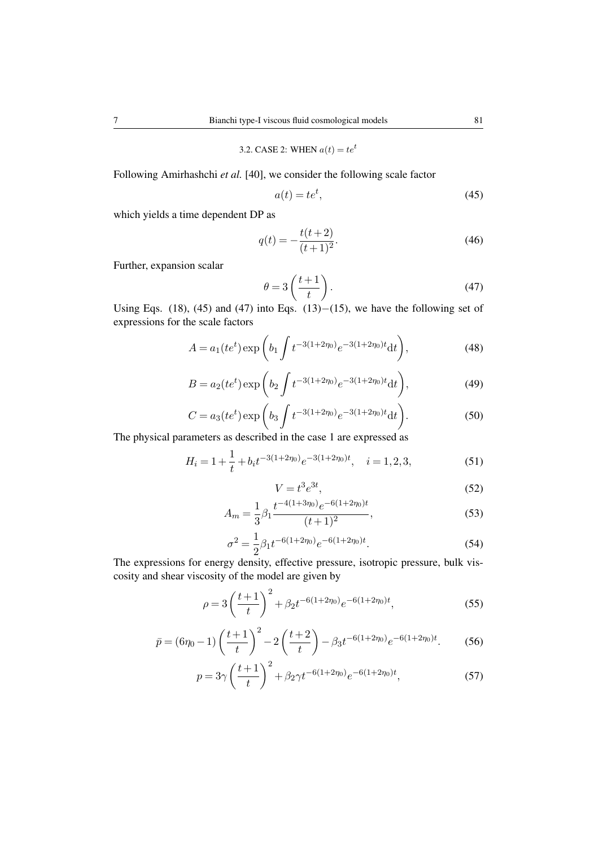# 3.2. CASE 2: WHEN  $a(t) = te^t$

Following Amirhashchi *et al.* [40], we consider the following scale factor

$$
a(t) = te^t,\tag{45}
$$

which yields a time dependent DP as

$$
q(t) = -\frac{t(t+2)}{(t+1)^2}.
$$
\n(46)

Further, expansion scalar

$$
\theta = 3\left(\frac{t+1}{t}\right). \tag{47}
$$

Using Eqs. (18), (45) and (47) into Eqs. (13)*−*(15), we have the following set of expressions for the scale factors

$$
A = a_1(te^t) \exp\left(b_1 \int t^{-3(1+2\eta_0)} e^{-3(1+2\eta_0)t} \mathrm{d}t\right),\tag{48}
$$

$$
B = a_2(te^t) \exp\left(b_2 \int t^{-3(1+2\eta_0)} e^{-3(1+2\eta_0)t} dt\right),\tag{49}
$$

$$
C = a_3(te^t) \exp\left(b_3 \int t^{-3(1+2\eta_0)} e^{-3(1+2\eta_0)t} dt\right).
$$
 (50)

The physical parameters as described in the case 1 are expressed as

$$
H_i = 1 + \frac{1}{t} + b_i t^{-3(1+2\eta_0)} e^{-3(1+2\eta_0)t}, \quad i = 1, 2, 3,
$$
 (51)

$$
V = t^3 e^{3t},\tag{52}
$$

$$
A_m = \frac{1}{3} \beta_1 \frac{t^{-4(1+3\eta_0)} e^{-6(1+2\eta_0)t}}{(t+1)^2},
$$
\n(53)

$$
\sigma^2 = \frac{1}{2} \beta_1 t^{-6(1+2\eta_0)} e^{-6(1+2\eta_0)t}.
$$
\n(54)

The expressions for energy density, effective pressure, isotropic pressure, bulk viscosity and shear viscosity of the model are given by

$$
\rho = 3\left(\frac{t+1}{t}\right)^2 + \beta_2 t^{-6(1+2\eta_0)} e^{-6(1+2\eta_0)t},\tag{55}
$$

$$
\bar{p} = (6\eta_0 - 1) \left(\frac{t+1}{t}\right)^2 - 2\left(\frac{t+2}{t}\right) - \beta_3 t^{-6(1+2\eta_0)} e^{-6(1+2\eta_0)t}.\tag{56}
$$

$$
p = 3\gamma \left(\frac{t+1}{t}\right)^2 + \beta_2 \gamma t^{-6(1+2\eta_0)} e^{-6(1+2\eta_0)t},\tag{57}
$$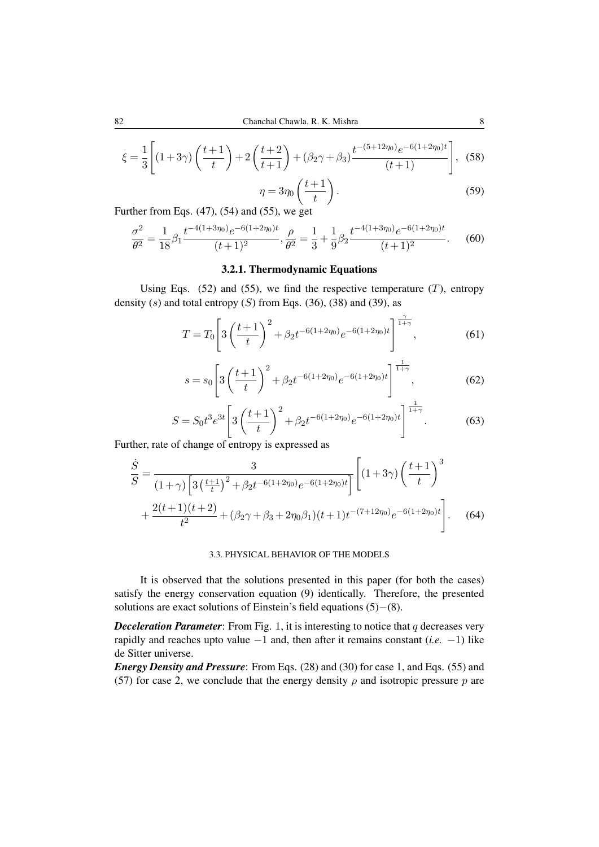$$
\xi = \frac{1}{3} \left[ (1+3\gamma) \left( \frac{t+1}{t} \right) + 2 \left( \frac{t+2}{t+1} \right) + (\beta_2 \gamma + \beta_3) \frac{t^{-(5+12\eta_0)} e^{-6(1+2\eta_0)t}}{(t+1)} \right],
$$
(58)

$$
\eta = 3\eta_0 \left(\frac{t+1}{t}\right). \tag{59}
$$

Further from Eqs. (47), (54) and (55), we get

$$
\frac{\sigma^2}{\theta^2} = \frac{1}{18} \beta_1 \frac{t^{-4(1+3\eta_0)} e^{-6(1+2\eta_0)t}}{(t+1)^2}, \frac{\rho}{\theta^2} = \frac{1}{3} + \frac{1}{9} \beta_2 \frac{t^{-4(1+3\eta_0)} e^{-6(1+2\eta_0)t}}{(t+1)^2}.
$$
 (60)

# 3.2.1. Thermodynamic Equations

Using Eqs.  $(52)$  and  $(55)$ , we find the respective temperature  $(T)$ , entropy density  $(s)$  and total entropy  $(S)$  from Eqs.  $(36)$ ,  $(38)$  and  $(39)$ , as

$$
T = T_0 \left[ 3 \left( \frac{t+1}{t} \right)^2 + \beta_2 t^{-6(1+2\eta_0)} e^{-6(1+2\eta_0)t} \right]^{\frac{\gamma}{1+\gamma}}, \tag{61}
$$

$$
s = s_0 \left[ 3\left(\frac{t+1}{t}\right)^2 + \beta_2 t^{-6(1+2\eta_0)} e^{-6(1+2\eta_0)t} \right]^{\frac{1}{1+\gamma}}, \tag{62}
$$

$$
S = S_0 t^3 e^{3t} \left[ 3 \left( \frac{t+1}{t} \right)^2 + \beta_2 t^{-6(1+2\eta_0)} e^{-6(1+2\eta_0)t} \right]^{\frac{1}{1+\gamma}}.
$$
 (63)

Further, rate of change of entropy is expressed as

$$
\frac{\dot{S}}{S} = \frac{3}{(1+\gamma)\left[3\left(\frac{t+1}{t}\right)^2 + \beta_2 t^{-6(1+2\eta_0)}e^{-6(1+2\eta_0)t}\right]}\left[(1+3\gamma)\left(\frac{t+1}{t}\right)^3 + \frac{2(t+1)(t+2)}{t^2} + (\beta_2\gamma + \beta_3 + 2\eta_0\beta_1)(t+1)t^{-(7+12\eta_0)}e^{-6(1+2\eta_0)t}\right].
$$
 (64)

### 3.3. PHYSICAL BEHAVIOR OF THE MODELS

It is observed that the solutions presented in this paper (for both the cases) satisfy the energy conservation equation (9) identically. Therefore, the presented solutions are exact solutions of Einstein's field equations (5)*−*(8).

*Deceleration Parameter*: From Fig. 1, it is interesting to notice that *q* decreases very rapidly and reaches upto value *−*1 and, then after it remains constant (*i.e. −*1) like de Sitter universe.

*Energy Density and Pressure*: From Eqs. (28) and (30) for case 1, and Eqs. (55) and (57) for case 2, we conclude that the energy density  $\rho$  and isotropic pressure  $p$  are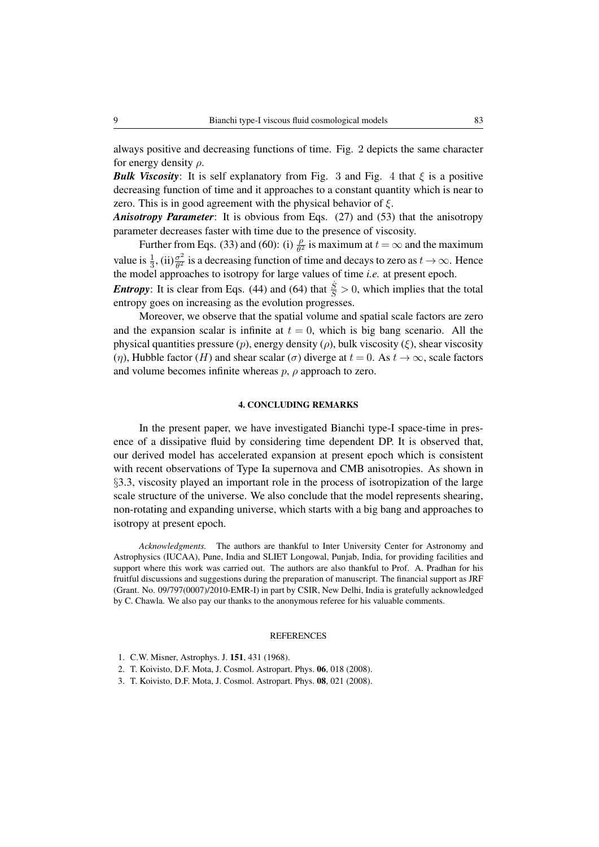always positive and decreasing functions of time. Fig. 2 depicts the same character for energy density *ρ*.

*Bulk Viscosity*: It is self explanatory from Fig. 3 and Fig. 4 that  $\xi$  is a positive decreasing function of time and it approaches to a constant quantity which is near to zero. This is in good agreement with the physical behavior of *ξ*.

*Anisotropy Parameter*: It is obvious from Eqs. (27) and (53) that the anisotropy parameter decreases faster with time due to the presence of viscosity.

Further from Eqs. (33) and (60): (i)  $\frac{\rho}{\theta^2}$  is maximum at  $t = \infty$  and the maximum value is  $\frac{1}{3}$ , (ii) $\frac{\sigma^2}{\theta^2}$  $\frac{\sigma^2}{\theta^2}$  is a decreasing function of time and decays to zero as  $t \to \infty$ . Hence the model approaches to isotropy for large values of time *i.e.* at present epoch. *Entropy*: It is clear from Eqs. (44) and (64) that  $\frac{\dot{s}}{S} > 0$ , which implies that the total

entropy goes on increasing as the evolution progresses. Moreover, we observe that the spatial volume and spatial scale factors are zero and the expansion scalar is infinite at  $t = 0$ , which is big bang scenario. All the physical quantities pressure (*p*), energy density (*ρ*), bulk viscosity (*ξ*), shear viscosity (*η*), Hubble factor (*H*) and shear scalar (*σ*) diverge at  $t = 0$ . As  $t \to \infty$ , scale factors and volume becomes infinite whereas *p*, *ρ* approach to zero.

## 4. CONCLUDING REMARKS

In the present paper, we have investigated Bianchi type-I space-time in presence of a dissipative fluid by considering time dependent DP. It is observed that, our derived model has accelerated expansion at present epoch which is consistent with recent observations of Type Ia supernova and CMB anisotropies. As shown in *§*3.3, viscosity played an important role in the process of isotropization of the large scale structure of the universe. We also conclude that the model represents shearing, non-rotating and expanding universe, which starts with a big bang and approaches to isotropy at present epoch.

*Acknowledgments.* The authors are thankful to Inter University Center for Astronomy and Astrophysics (IUCAA), Pune, India and SLIET Longowal, Punjab, India, for providing facilities and support where this work was carried out. The authors are also thankful to Prof. A. Pradhan for his fruitful discussions and suggestions during the preparation of manuscript. The financial support as JRF (Grant. No. 09/797(0007)/2010-EMR-I) in part by CSIR, New Delhi, India is gratefully acknowledged by C. Chawla. We also pay our thanks to the anonymous referee for his valuable comments.

#### **REFERENCES**

- 1. C.W. Misner, Astrophys. J. 151, 431 (1968).
- 2. T. Koivisto, D.F. Mota, J. Cosmol. Astropart. Phys. 06, 018 (2008).
- 3. T. Koivisto, D.F. Mota, J. Cosmol. Astropart. Phys. 08, 021 (2008).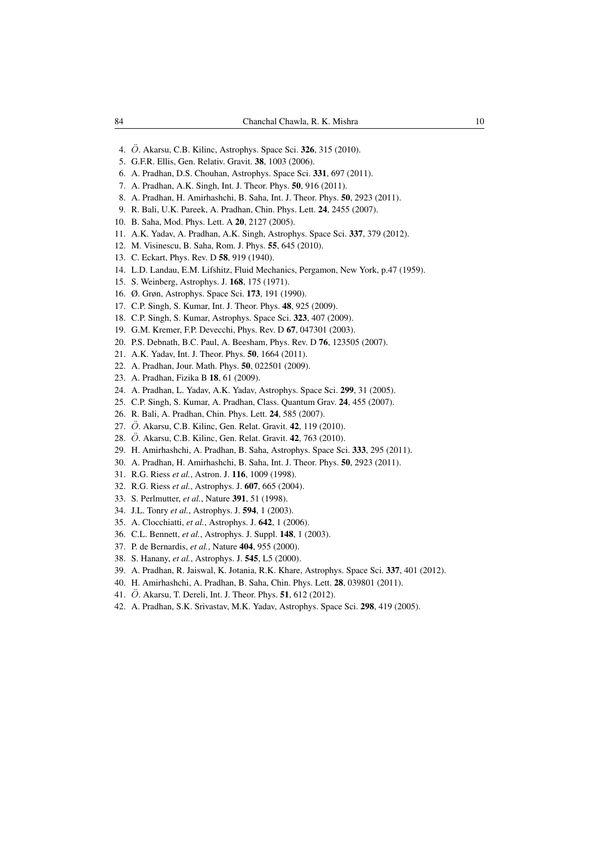- 4. *O*¨. Akarsu, C.B. Kilinc, Astrophys. Space Sci. 326, 315 (2010).
- 5. G.F.R. Ellis, Gen. Relativ. Gravit. 38, 1003 (2006).
- 6. A. Pradhan, D.S. Chouhan, Astrophys. Space Sci. 331, 697 (2011).
- 7. A. Pradhan, A.K. Singh, Int. J. Theor. Phys. 50, 916 (2011).
- 8. A. Pradhan, H. Amirhashchi, B. Saha, Int. J. Theor. Phys. 50, 2923 (2011).
- 9. R. Bali, U.K. Pareek, A. Pradhan, Chin. Phys. Lett. 24, 2455 (2007).
- 10. B. Saha, Mod. Phys. Lett. A 20, 2127 (2005).
- 11. A.K. Yadav, A. Pradhan, A.K. Singh, Astrophys. Space Sci. 337, 379 (2012).
- 12. M. Visinescu, B. Saha, Rom. J. Phys. 55, 645 (2010).
- 13. C. Eckart, Phys. Rev. D 58, 919 (1940).
- 14. L.D. Landau, E.M. Lifshitz, Fluid Mechanics, Pergamon, New York, p.47 (1959).
- 15. S. Weinberg, Astrophys. J. 168, 175 (1971).
- 16. Ø. Grøn, Astrophys. Space Sci. 173, 191 (1990).
- 17. C.P. Singh, S. Kumar, Int. J. Theor. Phys. 48, 925 (2009).
- 18. C.P. Singh, S. Kumar, Astrophys. Space Sci. 323, 407 (2009).
- 19. G.M. Kremer, F.P. Devecchi, Phys. Rev. D 67, 047301 (2003).
- 20. P.S. Debnath, B.C. Paul, A. Beesham, Phys. Rev. D 76, 123505 (2007).
- 21. A.K. Yadav, Int. J. Theor. Phys. 50, 1664 (2011).
- 22. A. Pradhan, Jour. Math. Phys. 50, 022501 (2009).
- 23. A. Pradhan, Fizika B 18, 61 (2009).
- 24. A. Pradhan, L. Yadav, A.K. Yadav, Astrophys. Space Sci. 299, 31 (2005).
- 25. C.P. Singh, S. Kumar, A. Pradhan, Class. Quantum Grav. 24, 455 (2007).
- 26. R. Bali, A. Pradhan, Chin. Phys. Lett. 24, 585 (2007).
- 27. *O*¨. Akarsu, C.B. Kilinc, Gen. Relat. Gravit. 42, 119 (2010).
- 28. *O*¨. Akarsu, C.B. Kilinc, Gen. Relat. Gravit. 42, 763 (2010).
- 29. H. Amirhashchi, A. Pradhan, B. Saha, Astrophys. Space Sci. 333, 295 (2011).
- 30. A. Pradhan, H. Amirhashchi, B. Saha, Int. J. Theor. Phys. 50, 2923 (2011).
- 31. R.G. Riess *et al.*, Astron. J. 116, 1009 (1998).
- 32. R.G. Riess *et al.*, Astrophys. J. 607, 665 (2004).
- 33. S. Perlmutter, *et al.*, Nature 391, 51 (1998).
- 34. J.L. Tonry *et al.*, Astrophys. J. 594, 1 (2003).
- 35. A. Clocchiatti, *et al.*, Astrophys. J. 642, 1 (2006).
- 36. C.L. Bennett, *et al.*, Astrophys. J. Suppl. 148, 1 (2003).
- 37. P. de Bernardis, *et al.*, Nature 404, 955 (2000).
- 38. S. Hanany, *et al.*, Astrophys. J. 545, L5 (2000).
- 39. A. Pradhan, R. Jaiswal, K. Jotania, R.K. Khare, Astrophys. Space Sci. 337, 401 (2012).
- 40. H. Amirhashchi, A. Pradhan, B. Saha, Chin. Phys. Lett. 28, 039801 (2011).
- 41. *O*¨. Akarsu, T. Dereli, Int. J. Theor. Phys. 51, 612 (2012).
- 42. A. Pradhan, S.K. Srivastav, M.K. Yadav, Astrophys. Space Sci. 298, 419 (2005).